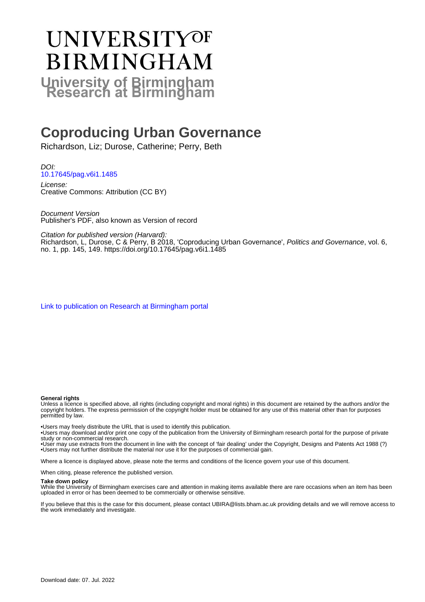# **UNIVERSITYOF BIRMINGHAM University of Birmingham**

# **Coproducing Urban Governance**

Richardson, Liz; Durose, Catherine; Perry, Beth

DOI: [10.17645/pag.v6i1.1485](https://doi.org/10.17645/pag.v6i1.1485)

License: Creative Commons: Attribution (CC BY)

Document Version Publisher's PDF, also known as Version of record

Citation for published version (Harvard):

Richardson, L, Durose, C & Perry, B 2018, 'Coproducing Urban Governance', Politics and Governance, vol. 6, no. 1, pp. 145, 149. <https://doi.org/10.17645/pag.v6i1.1485>

[Link to publication on Research at Birmingham portal](https://birmingham.elsevierpure.com/en/publications/9741a2a3-3c09-49fd-903a-d399825ac297)

#### **General rights**

Unless a licence is specified above, all rights (including copyright and moral rights) in this document are retained by the authors and/or the copyright holders. The express permission of the copyright holder must be obtained for any use of this material other than for purposes permitted by law.

• Users may freely distribute the URL that is used to identify this publication.

• Users may download and/or print one copy of the publication from the University of Birmingham research portal for the purpose of private study or non-commercial research.

• User may use extracts from the document in line with the concept of 'fair dealing' under the Copyright, Designs and Patents Act 1988 (?) • Users may not further distribute the material nor use it for the purposes of commercial gain.

Where a licence is displayed above, please note the terms and conditions of the licence govern your use of this document.

When citing, please reference the published version.

#### **Take down policy**

While the University of Birmingham exercises care and attention in making items available there are rare occasions when an item has been uploaded in error or has been deemed to be commercially or otherwise sensitive.

If you believe that this is the case for this document, please contact UBIRA@lists.bham.ac.uk providing details and we will remove access to the work immediately and investigate.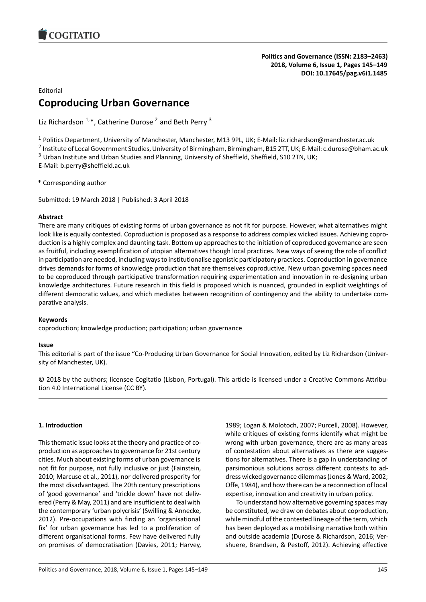

## Editorial

# **Coproducing Urban Governance**

Liz Richardson  $1,*$ , Catherine Durose <sup>2</sup> and Beth Perry <sup>3</sup>

<sup>1</sup> Politics Department, University of Manchester, Manchester, M13 9PL, UK; E-Mail: liz.richardson@manchester.ac.uk

2 Institute of Local Government Studies, University of Birmingham, Birmingham, B15 2TT, UK; E-Mail: c.durose@bham.ac.uk

 $3$  Urban Institute and Urban Studies and Planning, University of Sheffield, Sheffield, S10 2TN, UK;

E-Mail: b.perry@sheffield.ac.uk

\* Corresponding author

Submitted: 19 March 2018 | Published: 3 April 2018

# **Abstract**

There are many critiques of existing forms of urban governance as not fit for purpose. However, what alternatives might look like is equally contested. Coproduction is proposed as a response to address complex wicked issues. Achieving coproduction is a highly complex and daunting task. Bottom up approaches to the initiation of coproduced governance are seen as fruitful, including exemplification of utopian alternatives though local practices. New ways of seeing the role of conflict in participation are needed, including ways to institutionalise agonistic participatory practices. Coproduction in governance drives demands for forms of knowledge production that are themselves coproductive. New urban governing spaces need to be coproduced through participative transformation requiring experimentation and innovation in re-designing urban knowledge architectures. Future research in this field is proposed which is nuanced, grounded in explicit weightings of different democratic values, and which mediates between recognition of contingency and the ability to undertake comparative analysis.

## **Keywords**

coproduction; knowledge production; participation; urban governance

## **Issue**

This editorial is part of the issue "Co-Producing Urban Governance for Social Innovation, edited by Liz Richardson (University of Manchester, UK).

© 2018 by the authors; licensee Cogitatio (Lisbon, Portugal). This article is licensed under a Creative Commons Attribution 4.0 International License (CC BY).

## **1. Introduction**

This thematic issue looks at the theory and practice of coproduction as approaches to governance for 21st century cities. Much about existing forms of urban governance is not fit for purpose, not fully inclusive or just (Fainstein, 2010; Marcuse et al., 2011), nor delivered prosperity for the most disadvantaged. The 20th century prescriptions of 'good governance' and 'trickle down' have not delivered (Perry & May, 2011) and are insufficient to deal with the contemporary 'urban polycrisis' (Swilling & Annecke, 2012). Pre-occupations with finding an 'organisational fix' for urban governance has led to a proliferation of different organisational forms. Few have delivered fully on promises of democratisation (Davies, 2011; Harvey, 1989; Logan & Molotoch, 2007; Purcell, 2008). However, while critiques of existing forms identify what might be wrong with urban governance, there are as many areas of contestation about alternatives as there are suggestions for alternatives. There is a gap in understanding of parsimonious solutions across different contexts to address wicked governance dilemmas (Jones & Ward, 2002; Offe, 1984), and how there can be a reconnection of local expertise, innovation and creativity in urban policy.

To understand how alternative governing spaces may be constituted, we draw on debates about coproduction, while mindful of the contested lineage of the term, which has been deployed as a mobilising narrative both within and outside academia (Durose & Richardson, 2016; Vershuere, Brandsen, & Pestoff, 2012). Achieving effective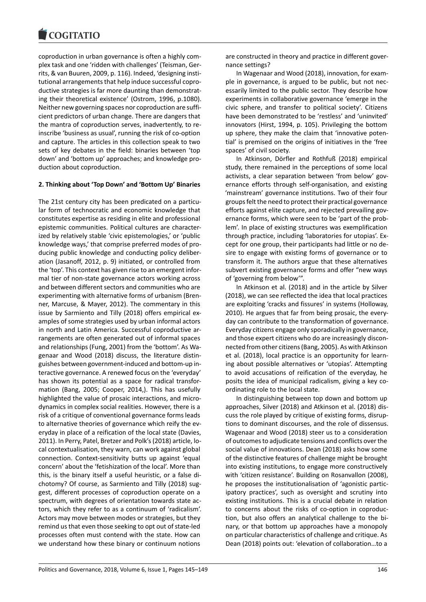#### COQUIATIO

coproduction in urban governance is often a highly complex task and one 'ridden with challenges' (Teisman, Gerrits, & van Buuren, 2009, p. 116). Indeed, 'designing institutional arrangements that help induce successful coproductive strategies is far more daunting than demonstrating their theoretical existence' (Ostrom, 1996, p.1080). Neither new governing spaces nor coproduction are sufficient predictors of urban change. There are dangers that the mantra of coproduction serves, inadvertently, to reinscribe 'business as usual', running the risk of co-option and capture. The articles in this collection speak to two sets of key debates in the field: binaries between 'top down' and 'bottom up' approaches; and knowledge production about coproduction.

## **2. Thinking about 'Top Down' and 'Bottom Up' Binaries**

The 21st century city has been predicated on a particular form of technocratic and economic knowledge that constitutes expertise as residing in elite and professional epistemic communities. Political cultures are characterized by relatively stable 'civic epistemologies,' or 'public knowledge ways,' that comprise preferred modes of producing public knowledge and conducting policy deliberation (Jasanoff, 2012, p. 9) initiated, or controlled from the 'top'. This context has given rise to an emergent informal tier of non-state governance actors working across and between different sectors and communities who are experimenting with alternative forms of urbanism (Brenner, Marcuse, & Mayer, 2012). The commentary in this issue by Sarmiento and Tilly (2018) offers empirical examples of some strategies used by urban informal actors in north and Latin America. Successful coproductive arrangements are often generated out of informal spaces and relationships (Fung, 2001) from the 'bottom'. As Wagenaar and Wood (2018) discuss, the literature distinguishes between government-induced and bottom-up interactive governance. A renewed focus on the 'everyday' has shown its potential as a space for radical transformation (Bang, 2005; Cooper, 2014,). This has usefully highlighted the value of prosaic interactions, and microdynamics in complex social realities. However, there is a risk of a critique of conventional governance forms leads to alternative theories of governance which reify the everyday in place of a reification of the local state (Davies, 2011). In Perry, Patel, Bretzer and Polk's (2018) article, local contextualisation, they warn, can work against global connection. Context-sensitivity butts up against 'equal concern' about the 'fetishization of the local'. More than this, is the binary itself a useful heuristic, or a false dichotomy? Of course, as Sarmiento and Tilly (2018) suggest, different processes of coproduction operate on a spectrum, with degrees of orientation towards state actors, which they refer to as a continuum of 'radicalism'. Actors may move between modes or strategies, but they remind us that even those seeking to opt out of state-led processes often must contend with the state. How can we understand how these binary or continuum notions

are constructed in theory and practice in different governance settings?

In Wagenaar and Wood (2018), innovation, for example in governance, is argued to be public, but not necessarily limited to the public sector. They describe how experiments in collaborative governance 'emerge in the civic sphere, and transfer to political society'. Citizens have been demonstrated to be 'restless' and 'uninvited' innovators (Hirst, 1994, p. 105). Privileging the bottom up sphere, they make the claim that 'innovative potential' is premised on the origins of initiatives in the 'free spaces' of civil society.

In Atkinson, Dörfler and Rothfuß (2018) empirical study, there remained in the perceptions of some local activists, a clear separation between 'from below' governance efforts through self-organisation, and existing 'mainstream' governance institutions. Two of their four groups felt the need to protect their practical governance efforts against elite capture, and rejected prevailing governance forms, which were seen to be 'part of the problem'. In place of existing structures was exemplification through practice, including 'laboratories for utopias'. Except for one group, their participants had little or no desire to engage with existing forms of governance or to transform it. The authors argue that these alternatives subvert existing governance forms and offer "new ways of 'governing from below'".

In Atkinson et al. (2018) and in the article by Silver (2018), we can see reflected the idea that local practices are exploiting 'cracks and fissures' in systems (Holloway, 2010). He argues that far from being prosaic, the everyday can contribute to the transformation of governance. Everyday citizens engage only sporadically in governance, and those expert citizens who do are increasingly disconnected from other citizens (Bang, 2005). As with Atkinson et al. (2018), local practice is an opportunity for learning about possible alternatives or 'utopias'. Attempting to avoid accusations of reification of the everyday, he posits the idea of municipal radicalism, giving a key coordinating role to the local state.

In distinguishing between top down and bottom up approaches, Silver (2018) and Atkinson et al. (2018) discuss the role played by critique of existing forms, disruptions to dominant discourses, and the role of dissensus. Wagenaar and Wood (2018) steer us to a consideration of outcomes to adjudicate tensions and conflicts over the social value of innovations. Dean (2018) asks how some of the distinctive features of challenge might be brought into existing institutions, to engage more constructively with 'citizen resistance'. Building on Rosanvallon (2008), he proposes the institutionalisation of 'agonistic participatory practices', such as oversight and scrutiny into existing institutions. This is a crucial debate in relation to concerns about the risks of co-option in coproduction, but also offers an analytical challenge to the binary, or that bottom up approaches have a monopoly on particular characteristics of challenge and critique. As Dean (2018) points out: 'elevation of collaboration…to a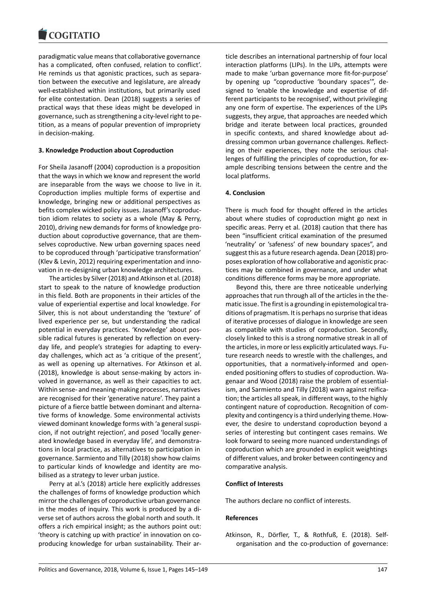#### COMITATIO

paradigmatic value means that collaborative governance has a complicated, often confused, relation to conflict'. He reminds us that agonistic practices, such as separation between the executive and legislature, are already well-established within institutions, but primarily used for elite contestation. Dean (2018) suggests a series of practical ways that these ideas might be developed in governance, such as strengthening a city-level right to petition, as a means of popular prevention of impropriety in decision-making.

#### **3. Knowledge Production about Coproduction**

For Sheila Jasanoff (2004) coproduction is a proposition that the ways in which we know and represent the world are inseparable from the ways we choose to live in it. Coproduction implies multiple forms of expertise and knowledge, bringing new or additional perspectives as befits complex wicked policy issues. Jasanoff's coproduction idiom relates to society as a whole (May & Perry, 2010), driving new demands for forms of knowledge production about coproductive governance, that are themselves coproductive. New urban governing spaces need to be coproduced through 'participative transformation' (Klev & Levin, 2012) requiring experimentation and innovation in re-designing urban knowledge architectures.

The articles by Silver (2018) and Atkinson et al. (2018) start to speak to the nature of knowledge production in this field. Both are proponents in their articles of the value of experiential expertise and local knowledge. For Silver, this is not about understanding the 'texture' of lived experience per se, but understanding the radical potential in everyday practices. 'Knowledge' about possible radical futures is generated by reflection on everyday life, and people's strategies for adapting to everyday challenges, which act as 'a critique of the present', as well as opening up alternatives. For Atkinson et al. (2018), knowledge is about sense-making by actors involved in governance, as well as their capacities to act. Within sense- and meaning-making processes, narratives are recognised for their 'generative nature'. They paint a picture of a fierce battle between dominant and alternative forms of knowledge. Some environmental activists viewed dominant knowledge forms with 'a general suspicion, if not outright rejection', and posed 'locally generated knowledge based in everyday life', and demonstrations in local practice, as alternatives to participation in governance. Sarmiento and Tilly (2018) show how claims to particular kinds of knowledge and identity are mobilised as a strategy to lever urban justice.

Perry at al.'s (2018) article here explicitly addresses the challenges of forms of knowledge production which mirror the challenges of coproductive urban governance in the modes of inquiry. This work is produced by a diverse set of authors across the global north and south. It offers a rich empirical insight; as the authors point out: 'theory is catching up with practice' in innovation on coproducing knowledge for urban sustainability. Their article describes an international partnership of four local interaction platforms (LIPs). In the LIPs, attempts were made to make 'urban governance more fit-for-purpose' by opening up "coproductive 'boundary spaces'", designed to 'enable the knowledge and expertise of different participants to be recognised', without privileging any one form of expertise. The experiences of the LIPs suggests, they argue, that approaches are needed which bridge and iterate between local practices, grounded in specific contexts, and shared knowledge about addressing common urban governance challenges. Reflecting on their experiences, they note the serious challenges of fulfilling the principles of coproduction, for example describing tensions between the centre and the local platforms.

#### **4. Conclusion**

There is much food for thought offered in the articles about where studies of coproduction might go next in specific areas. Perry et al. (2018) caution that there has been "insufficient critical examination of the presumed 'neutrality' or 'safeness' of new boundary spaces", and suggest this as a future research agenda. Dean (2018) proposes exploration of how collaborative and agonistic practices may be combined in governance, and under what conditions difference forms may be more appropriate.

Beyond this, there are three noticeable underlying approaches that run through all of the articles in the thematic issue. The first is a grounding in epistemological traditions of pragmatism. It is perhaps no surprise that ideas of iterative processes of dialogue in knowledge are seen as compatible with studies of coproduction. Secondly, closely linked to this is a strong normative streak in all of the articles, in more or less explicitly articulated ways. Future research needs to wrestle with the challenges, and opportunities, that a normatively-informed and openended positioning offers to studies of coproduction. Wagenaar and Wood (2018) raise the problem of essentialism, and Sarmiento and Tilly (2018) warn against reification; the articles all speak, in different ways, to the highly contingent nature of coproduction. Recognition of complexity and contingency is a third underlying theme. However, the desire to understand coproduction beyond a series of interesting but contingent cases remains. We look forward to seeing more nuanced understandings of coproduction which are grounded in explicit weightings of different values, and broker between contingency and comparative analysis.

#### **Conflict of Interests**

The authors declare no conflict of interests.

#### **References**

Atkinson, R., Dörfler, T., & Rothfuß, E. (2018). Selforganisation and the co-production of governance: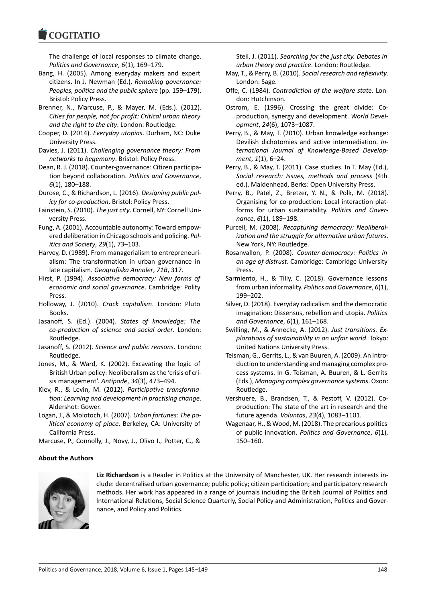#### COQUIATIO

The challenge of local responses to climate change. *Politics and Governance*, *6*(1), 169–179.

- Bang, H. (2005). Among everyday makers and expert citizens. In J. Newman (Ed.), *Remaking governance: Peoples, politics and the public sphere* (pp. 159–179). Bristol: Policy Press.
- Brenner, N., Marcuse, P., & Mayer, M. (Eds.). (2012). *Cities for people, not for profit: Critical urban theory and the right to the city*. London: Routledge.
- Cooper, D. (2014). *Everyday utopias*. Durham, NC: Duke University Press.
- Davies, J. (2011). *Challenging governance theory: From networks to hegemony*. Bristol: Policy Press.
- Dean, R. J. (2018). Counter-governance: Citizen participation beyond collaboration. *Politics and Governance*, *6*(1), 180–188.
- Durose, C., & Richardson, L. (2016). *Designing public policy for co-production*. Bristol: Policy Press.
- Fainstein, S. (2010). *The just city*. Cornell, NY: Cornell University Press.
- Fung, A. (2001). Accountable autonomy: Toward empowered deliberation in Chicago schools and policing. *Politics and Society*, *29*(1), 73–103.
- Harvey, D. (1989). From managerialism to entrepreneurialism: The transformation in urban governance in late capitalism. *Geografiska Annaler*, *71B*, 317.
- Hirst, P. (1994). *Associative democracy: New forms of economic and social governance*. Cambridge: Polity Press.
- Holloway, J. (2010). *Crack capitalism*. London: Pluto Books.
- Jasanoff, S. (Ed.). (2004). *States of knowledge: The co-production of science and social order*. London: Routledge.
- Jasanoff, S. (2012). *Science and public reasons*. London: Routledge.
- Jones, M., & Ward, K. (2002). Excavating the logic of British Urban policy: Neoliberalism as the 'crisis of crisis management'. *Antipode*, *34*(3), 473–494.
- Klev, R., & Levin, M. (2012). *Participative transformation: Learning and development in practising change*. Aldershot: Gower.
- Logan, J., & Molotoch, H. (2007). *Urban fortunes: The political economy of place*. Berkeley, CA: University of California Press.

Marcuse, P., Connolly, J., Novy, J., Olivo I., Potter, C., &

# Steil, J. (2011). *Searching for the just city. Debates in urban theory and practice*. London: Routledge.

- May, T., & Perry, B. (2010). *Social research and reflexivity*. London: Sage.
- Offe, C. (1984). *Contradiction of the welfare state*. London: Hutchinson.
- Ostrom, E. (1996). Crossing the great divide: Coproduction, synergy and development. *World Development*, *24*(6), 1073–1087.
- Perry, B., & May, T. (2010). Urban knowledge exchange: Devilish dichotomies and active intermediation. *International Journal of Knowledge-Based Development*, *1*(1), 6–24.
- Perry, B., & May, T. (2011). Case studies. In T. May (Ed.), *Social research: Issues, methods and process* (4th ed.). Maidenhead, Berks: Open University Press.
- Perry, B., Patel, Z., Bretzer, Y. N., & Polk, M. (2018). Organising for co-production: Local interaction platforms for urban sustainability. *Politics and Governance*, *6*(1), 189–198.
- Purcell, M. (2008). *Recapturing democracy: Neoliberalization and the struggle for alternative urban futures*. New York, NY: Routledge.
- Rosanvallon, P. (2008). *Counter-democracy: Politics in an age of distrust*. Cambridge: Cambridge University Press.
- Sarmiento, H., & Tilly, C. (2018). Governance lessons from urban informality. *Politics and Governance*, *6*(1), 199–202.
- Silver, D. (2018). Everyday radicalism and the democratic imagination: Dissensus, rebellion and utopia. *Politics and Governance*, *6*(1), 161–168.
- Swilling, M., & Annecke, A. (2012). *Just transitions. Explorations of sustainability in an unfair world*. Tokyo: United Nations University Press.
- Teisman, G., Gerrits, L., & van Buuren, A. (2009). An introduction to understanding and managing complex process systems. In G. Teisman, A. Buuren, & L. Gerrits (Eds.), *Managing complex governance systems*. Oxon: Routledge.
- Vershuere, B., Brandsen, T., & Pestoff, V. (2012). Coproduction: The state of the art in research and the future agenda. *Voluntas*, *23*(4), 1083–1101.
- Wagenaar, H., & Wood, M. (2018). The precarious politics of public innovation. *Politics and Governance*, *6*(1), 150–160.

# **About the Authors**



**Liz Richardson** is a Reader in Politics at the University of Manchester, UK. Her research interests include: decentralised urban governance; public policy; citizen participation; and participatory research methods. Her work has appeared in a range of journals including the British Journal of Politics and International Relations, Social Science Quarterly, Social Policy and Administration, Politics and Governance, and Policy and Politics.